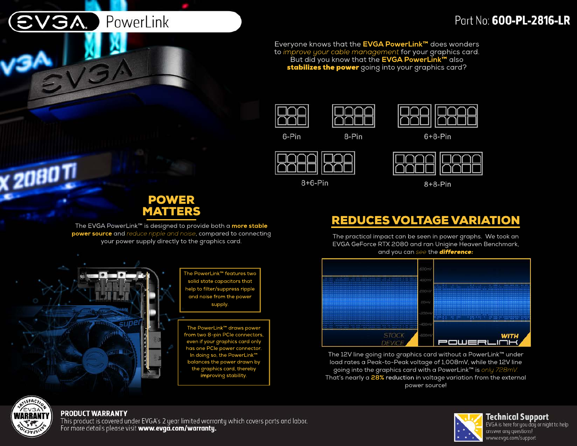# **GA.** PowerLink

## Part No: 600-PL-2816-LR

Everyone knows that the **EVGA PowerLink™** does wonders to *improve your cable management* for your graphics card. But did you know that the **EVGA PowerLink™** also stabilizes the power going into your graphics card?



6-Pin





| п  | I  |
|----|----|
| ×, | ×, |
| ×, | I  |
|    | ×  |

8-Pin

 $8+6-Pin$ 

 $8+8-Pin$ 

## REDUCES VOLTAGE VARIATION

The practical impact can be seen in power graphs. We took an EVGA GeForce RTX 2080 and ran Unigine Heaven Benchmark, and you can *see* the *difference:*



The 12V line going into graphics card without a PowerLink™ under load rates a Peak-to-Peak voltage of 1,008mV, while the 12V line going into the graphics card with a PowerLink™ is *only 728mV.* That's nearly a **28% reduction** in voltage variation from the external power source!



**X 2080 TI** 

#### **PRODUCT WARRANTY**

This product is covered under EVGA's 2 year limited warranty which covers parts and labor. For more details please visit www.evga.com/warranty.



**Technical Support** EVGA is here for you day or night to help answer any questions! www.evga.com/support

### POWER MATTERS

The EVGA PowerLink™ is designed to provide both a **more stable power source** and *reduce ripple and noise*, compared to connecting your power supply directly to the graphics card.

> The PowerLink™ features two solid state capacitors that help to filter/suppress ripple and noise from the power supply.

The PowerLink™ draws power from two 8-pin PCIe connectors, even if your graphics card only has one PCIe power connector. In doing so, the PowerLink™ balances the power drawn by the graphics card, thereby improving stability.